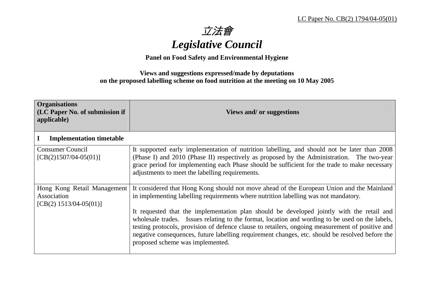立法會 *Legislative Council* 

**Panel on Food Safety and Environmental Hygiene** 

## **Views and suggestions expressed/made by deputations on the proposed labelling scheme on food nutrition at the meeting on 10 May 2005**

| <b>Organisations</b><br>(LC Paper No. of submission if<br>applicable)  | Views and/ or suggestions                                                                                                                                                                                                                                                                                                                                                                                                               |
|------------------------------------------------------------------------|-----------------------------------------------------------------------------------------------------------------------------------------------------------------------------------------------------------------------------------------------------------------------------------------------------------------------------------------------------------------------------------------------------------------------------------------|
| <b>Implementation timetable</b>                                        |                                                                                                                                                                                                                                                                                                                                                                                                                                         |
| <b>Consumer Council</b><br>$[CB(2)1507/04-05(01)]$                     | It supported early implementation of nutrition labelling, and should not be later than 2008<br>(Phase I) and 2010 (Phase II) respectively as proposed by the Administration. The two-year<br>grace period for implementing each Phase should be sufficient for the trade to make necessary<br>adjustments to meet the labelling requirements.                                                                                           |
| Hong Kong Retail Management<br>Association<br>$[CB(2) 1513/04-05(01)]$ | It considered that Hong Kong should not move ahead of the European Union and the Mainland<br>in implementing labelling requirements where nutrition labelling was not mandatory.                                                                                                                                                                                                                                                        |
|                                                                        | It requested that the implementation plan should be developed jointly with the retail and<br>wholesale trades. Issues relating to the format, location and wording to be used on the labels,<br>testing protocols, provision of defence clause to retailers, ongoing measurement of positive and<br>negative consequences, future labelling requirement changes, etc. should be resolved before the<br>proposed scheme was implemented. |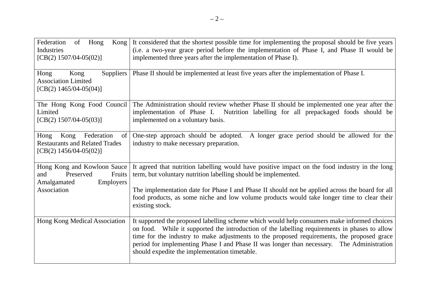| Federation<br>of Hong<br>Kong<br>Industries<br>$[CB(2) 1507/04-05(02)]$                                             | It considered that the shortest possible time for implementing the proposal should be five years<br>(i.e. a two-year grace period before the implementation of Phase I, and Phase II would be<br>implemented three years after the implementation of Phase I).                                                                                                                                                                            |
|---------------------------------------------------------------------------------------------------------------------|-------------------------------------------------------------------------------------------------------------------------------------------------------------------------------------------------------------------------------------------------------------------------------------------------------------------------------------------------------------------------------------------------------------------------------------------|
| Kong<br>Suppliers  <br>Hong<br><b>Association Limited</b><br>[CB(2) $1465/04-05(04)$ ]                              | Phase II should be implemented at least five years after the implementation of Phase I.                                                                                                                                                                                                                                                                                                                                                   |
| The Hong Kong Food Council<br>Limited<br>$[CB(2) 1507/04-05(03)]$                                                   | The Administration should review whether Phase II should be implemented one year after the<br>implementation of Phase I. Nutrition labelling for all prepackaged foods should be<br>implemented on a voluntary basis.                                                                                                                                                                                                                     |
| Federation<br>Hong<br>Kong<br>of <sub>1</sub><br><b>Restaurants and Related Trades</b><br>[CB(2) $1456/04-05(02)$ ] | A longer grace period should be allowed for the<br>One-step approach should be adopted.<br>industry to make necessary preparation.                                                                                                                                                                                                                                                                                                        |
| Hong Kong and Kowloon Sauce<br>Preserved<br>Fruits<br>and<br>Employers<br>Amalgamated                               | It agreed that nutrition labelling would have positive impact on the food industry in the long<br>term, but voluntary nutrition labelling should be implemented.                                                                                                                                                                                                                                                                          |
| Association                                                                                                         | The implementation date for Phase I and Phase II should not be applied across the board for all<br>food products, as some niche and low volume products would take longer time to clear their<br>existing stock.                                                                                                                                                                                                                          |
| Hong Kong Medical Association                                                                                       | It supported the proposed labelling scheme which would help consumers make informed choices<br>on food. While it supported the introduction of the labelling requirements in phases to allow<br>time for the industry to make adjustments to the proposed requirements, the proposed grace<br>period for implementing Phase I and Phase II was longer than necessary. The Administration<br>should expedite the implementation timetable. |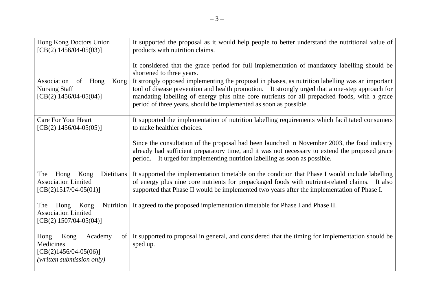| Hong Kong Doctors Union<br>$[CB(2) 1456/04-05(03)]$                                                      | It supported the proposal as it would help people to better understand the nutritional value of<br>products with nutrition claims.                                                                                                                                                                                                                                       |
|----------------------------------------------------------------------------------------------------------|--------------------------------------------------------------------------------------------------------------------------------------------------------------------------------------------------------------------------------------------------------------------------------------------------------------------------------------------------------------------------|
|                                                                                                          | It considered that the grace period for full implementation of mandatory labelling should be<br>shortened to three years.                                                                                                                                                                                                                                                |
| Association<br>of<br>Hong<br>Kong<br><b>Nursing Staff</b><br>[CB(2) $1456/04-05(04)$ ]                   | It strongly opposed implementing the proposal in phases, as nutrition labelling was an important<br>tool of disease prevention and health promotion. It strongly urged that a one-step approach for<br>mandating labelling of energy plus nine core nutrients for all prepacked foods, with a grace<br>period of three years, should be implemented as soon as possible. |
| <b>Care For Your Heart</b><br>$[CB(2) 1456/04-05(05)]$                                                   | It supported the implementation of nutrition labelling requirements which facilitated consumers<br>to make healthier choices.                                                                                                                                                                                                                                            |
|                                                                                                          | Since the consultation of the proposal had been launched in November 2003, the food industry<br>already had sufficient preparatory time, and it was not necessary to extend the proposed grace<br>period. It urged for implementing nutrition labelling as soon as possible.                                                                                             |
| Dietitians<br>The<br>Hong<br>Kong<br><b>Association Limited</b><br>$[CB(2)1517/04-05(01)]$               | It supported the implementation timetable on the condition that Phase I would include labelling<br>of energy plus nine core nutrients for prepackaged foods with nutrient-related claims. It also<br>supported that Phase II would be implemented two years after the implementation of Phase I.                                                                         |
| Nutrition<br>The<br>Kong<br>Hong<br><b>Association Limited</b><br>$[CB(2) 1507/04-05(04)]$               | It agreed to the proposed implementation timetable for Phase I and Phase II.                                                                                                                                                                                                                                                                                             |
| Kong<br>Hong<br>Academy<br>$\sigma$<br>Medicines<br>$[CB(2)1456/04-05(06)]$<br>(written submission only) | It supported to proposal in general, and considered that the timing for implementation should be<br>sped up.                                                                                                                                                                                                                                                             |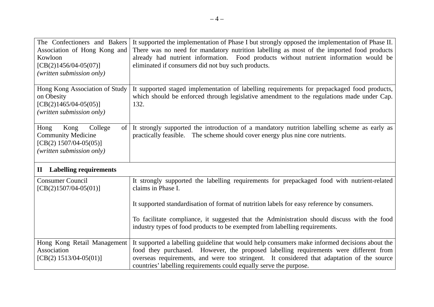| The Confectioners and Bakers<br>Association of Hong Kong and | It supported the implementation of Phase I but strongly opposed the implementation of Phase II.<br>There was no need for mandatory nutrition labelling as most of the imported food products |
|--------------------------------------------------------------|----------------------------------------------------------------------------------------------------------------------------------------------------------------------------------------------|
| Kowloon                                                      | already had nutrient information. Food products without nutrient information would be                                                                                                        |
| $[CB(2)1456/04-05(07)]$                                      | eliminated if consumers did not buy such products.                                                                                                                                           |
| (written submission only)                                    |                                                                                                                                                                                              |
|                                                              |                                                                                                                                                                                              |
| Hong Kong Association of Study                               | It supported staged implementation of labelling requirements for prepackaged food products,                                                                                                  |
| on Obesity                                                   | which should be enforced through legislative amendment to the regulations made under Cap.                                                                                                    |
| $[CB(2)1465/04-05(05)]$                                      | 132.                                                                                                                                                                                         |
| (written submission only)                                    |                                                                                                                                                                                              |
| College<br>Hong<br>Kong<br>of l                              | It strongly supported the introduction of a mandatory nutrition labelling scheme as early as                                                                                                 |
| <b>Community Medicine</b>                                    | practically feasible. The scheme should cover energy plus nine core nutrients.                                                                                                               |
| $[CB(2) 1507/04-05(05)]$                                     |                                                                                                                                                                                              |
| (written submission only)                                    |                                                                                                                                                                                              |
|                                                              |                                                                                                                                                                                              |
| <b>Labelling requirements</b><br>$\mathbf{I}$                |                                                                                                                                                                                              |
| <b>Consumer Council</b>                                      | It strongly supported the labelling requirements for prepackaged food with nutrient-related                                                                                                  |
| $[CB(2)1507/04-05(01)]$                                      | claims in Phase I.                                                                                                                                                                           |
|                                                              |                                                                                                                                                                                              |
|                                                              | It supported standardisation of format of nutrition labels for easy reference by consumers.                                                                                                  |
|                                                              | To facilitate compliance, it suggested that the Administration should discuss with the food                                                                                                  |
|                                                              | industry types of food products to be exempted from labelling requirements.                                                                                                                  |
|                                                              |                                                                                                                                                                                              |
| Hong Kong Retail Management                                  | It supported a labelling guideline that would help consumers make informed decisions about the                                                                                               |
| Association                                                  | food they purchased. However, the proposed labelling requirements were different from                                                                                                        |
| $[CB(2) 1513/04-05(01)]$                                     | overseas requirements, and were too stringent. It considered that adaptation of the source                                                                                                   |
|                                                              | countries' labelling requirements could equally serve the purpose.                                                                                                                           |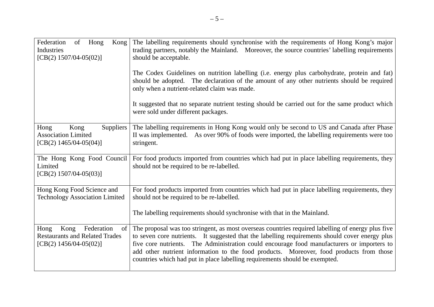| Federation<br>of<br>Hong<br>Kong<br>Industries<br>$[CB(2) 1507/04-05(02)]$                               | The labelling requirements should synchronise with the requirements of Hong Kong's major<br>trading partners, notably the Mainland. Moreover, the source countries' labelling requirements<br>should be acceptable.<br>The Codex Guidelines on nutrition labelling (i.e. energy plus carbohydrate, protein and fat)<br>should be adopted. The declaration of the amount of any other nutrients should be required<br>only when a nutrient-related claim was made.<br>It suggested that no separate nutrient testing should be carried out for the same product which<br>were sold under different packages. |
|----------------------------------------------------------------------------------------------------------|-------------------------------------------------------------------------------------------------------------------------------------------------------------------------------------------------------------------------------------------------------------------------------------------------------------------------------------------------------------------------------------------------------------------------------------------------------------------------------------------------------------------------------------------------------------------------------------------------------------|
| Suppliers<br>Hong<br>Kong<br><b>Association Limited</b><br>[CB(2) $1465/04-05(04)$ ]                     | The labelling requirements in Hong Kong would only be second to US and Canada after Phase<br>II was implemented. As over 90% of foods were imported, the labelling requirements were too<br>stringent.                                                                                                                                                                                                                                                                                                                                                                                                      |
| The Hong Kong Food Council<br>Limited<br>$[CB(2) 1507/04-05(03)]$                                        | For food products imported from countries which had put in place labelling requirements, they<br>should not be required to be re-labelled.                                                                                                                                                                                                                                                                                                                                                                                                                                                                  |
| Hong Kong Food Science and<br><b>Technology Association Limited</b>                                      | For food products imported from countries which had put in place labelling requirements, they<br>should not be required to be re-labelled.                                                                                                                                                                                                                                                                                                                                                                                                                                                                  |
|                                                                                                          | The labelling requirements should synchronise with that in the Mainland.                                                                                                                                                                                                                                                                                                                                                                                                                                                                                                                                    |
| Federation<br>Kong<br>Hong<br>of  <br><b>Restaurants and Related Trades</b><br>[CB(2) $1456/04-05(02)$ ] | The proposal was too stringent, as most overseas countries required labelling of energy plus five<br>to seven core nutrients. It suggested that the labelling requirements should cover energy plus<br>five core nutrients. The Administration could encourage food manufacturers or importers to<br>add other nutrient information to the food products. Moreover, food products from those<br>countries which had put in place labelling requirements should be exempted.                                                                                                                                 |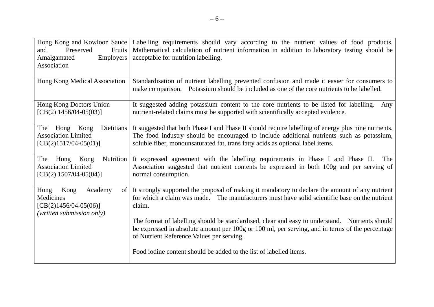| Hong Kong and Kowloon Sauce<br>Fruits<br>Preserved<br>and<br>Amalgamated<br>Employers<br>Association | Labelling requirements should vary according to the nutrient values of food products.<br>Mathematical calculation of nutrient information in addition to laboratory testing should be<br>acceptable for nutrition labelling.                                                       |
|------------------------------------------------------------------------------------------------------|------------------------------------------------------------------------------------------------------------------------------------------------------------------------------------------------------------------------------------------------------------------------------------|
| Hong Kong Medical Association                                                                        | Standardisation of nutrient labelling prevented confusion and made it easier for consumers to<br>make comparison. Potassium should be included as one of the core nutrients to be labelled.                                                                                        |
| Hong Kong Doctors Union<br>[CB(2) $1456/04-05(03)$ ]                                                 | It suggested adding potassium content to the core nutrients to be listed for labelling.<br>Any<br>nutrient-related claims must be supported with scientifically accepted evidence.                                                                                                 |
| Dietitians<br>Hong Kong<br>The<br><b>Association Limited</b><br>$[CB(2)1517/04-05(01)]$              | It suggested that both Phase I and Phase II should require labelling of energy plus nine nutrients.<br>The food industry should be encouraged to include additional nutrients such as potassium,<br>soluble fiber, monounsaturated fat, trans fatty acids as optional label items. |
| Nutrition<br>The<br>Kong<br>Hong<br><b>Association Limited</b><br>[CB(2) $1507/04-05(04)$ ]          | It expressed agreement with the labelling requirements in Phase I and Phase II.<br>The<br>Association suggested that nutrient contents be expressed in both 100g and per serving of<br>normal consumption.                                                                         |
| Academy<br>Hong<br>Kong<br>of  <br>Medicines<br>$[CB(2)1456/04-05(06)]$<br>(written submission only) | It strongly supported the proposal of making it mandatory to declare the amount of any nutrient<br>for which a claim was made. The manufacturers must have solid scientific base on the nutrient<br>claim.                                                                         |
|                                                                                                      | The format of labelling should be standardised, clear and easy to understand. Nutrients should<br>be expressed in absolute amount per 100g or 100 ml, per serving, and in terms of the percentage<br>of Nutrient Reference Values per serving.                                     |
|                                                                                                      | Food iodine content should be added to the list of labelled items.                                                                                                                                                                                                                 |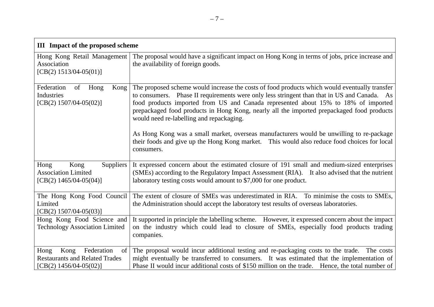| <b>III</b> Impact of the proposed scheme                                                                            |                                                                                                                                                                                                                                                                                                                                                                                                                                                                                                                                                                                                                                      |  |  |
|---------------------------------------------------------------------------------------------------------------------|--------------------------------------------------------------------------------------------------------------------------------------------------------------------------------------------------------------------------------------------------------------------------------------------------------------------------------------------------------------------------------------------------------------------------------------------------------------------------------------------------------------------------------------------------------------------------------------------------------------------------------------|--|--|
| Hong Kong Retail Management<br>Association<br>$[CB(2) 1513/04-05(01)]$                                              | The proposal would have a significant impact on Hong Kong in terms of jobs, price increase and<br>the availability of foreign goods.                                                                                                                                                                                                                                                                                                                                                                                                                                                                                                 |  |  |
| Federation<br>of<br>Kong<br>Hong<br>Industries<br>$[CB(2) 1507/04-05(02)]$                                          | The proposed scheme would increase the costs of food products which would eventually transfer<br>to consumers. Phase II requirements were only less stringent than that in US and Canada. As<br>food products imported from US and Canada represented about 15% to 18% of imported<br>prepackaged food products in Hong Kong, nearly all the imported prepackaged food products<br>would need re-labelling and repackaging.<br>As Hong Kong was a small market, overseas manufacturers would be unwilling to re-package<br>their foods and give up the Hong Kong market. This would also reduce food choices for local<br>consumers. |  |  |
| Suppliers  <br>Hong<br>Kong<br><b>Association Limited</b><br>[CB(2) $1465/04-05(04)$ ]                              | It expressed concern about the estimated closure of 191 small and medium-sized enterprises<br>(SMEs) according to the Regulatory Impact Assessment (RIA). It also advised that the nutrient<br>laboratory testing costs would amount to \$7,000 for one product.                                                                                                                                                                                                                                                                                                                                                                     |  |  |
| The Hong Kong Food Council<br>Limited<br>[CB(2) $1507/04-05(03)$ ]                                                  | The extent of closure of SMEs was underestimated in RIA. To minimise the costs to SMEs,<br>the Administration should accept the laboratory test results of overseas laboratories.                                                                                                                                                                                                                                                                                                                                                                                                                                                    |  |  |
| Hong Kong Food Science and<br><b>Technology Association Limited</b>                                                 | It supported in principle the labelling scheme. However, it expressed concern about the impact<br>on the industry which could lead to closure of SMEs, especially food products trading<br>companies.                                                                                                                                                                                                                                                                                                                                                                                                                                |  |  |
| Federation<br>Hong<br>Kong<br>of <sub>1</sub><br><b>Restaurants and Related Trades</b><br>[CB(2) $1456/04-05(02)$ ] | The proposal would incur additional testing and re-packaging costs to the trade. The costs<br>might eventually be transferred to consumers. It was estimated that the implementation of<br>Phase II would incur additional costs of \$150 million on the trade. Hence, the total number of                                                                                                                                                                                                                                                                                                                                           |  |  |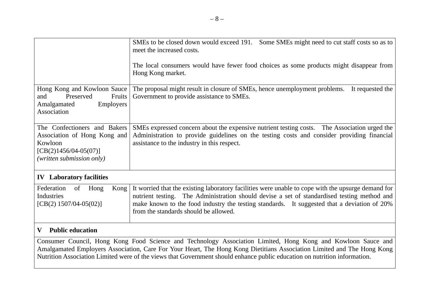|                                                                                                                                 | SMEs to be closed down would exceed 191. Some SMEs might need to cut staff costs so as to<br>meet the increased costs.<br>The local consumers would have fewer food choices as some products might disappear from<br>Hong Kong market.                                                                                                    |  |
|---------------------------------------------------------------------------------------------------------------------------------|-------------------------------------------------------------------------------------------------------------------------------------------------------------------------------------------------------------------------------------------------------------------------------------------------------------------------------------------|--|
| Hong Kong and Kowloon Sauce<br>Preserved<br>Fruits<br>and<br>Employers<br>Amalgamated<br>Association                            | The proposal might result in closure of SMEs, hence unemployment problems. It requested the<br>Government to provide assistance to SMEs.                                                                                                                                                                                                  |  |
| The Confectioners and Bakers<br>Association of Hong Kong and<br>Kowloon<br>$[CB(2)1456/04-05(07)]$<br>(written submission only) | SMEs expressed concern about the expensive nutrient testing costs. The Association urged the<br>Administration to provide guidelines on the testing costs and consider providing financial<br>assistance to the industry in this respect.                                                                                                 |  |
| <b>IV</b> Laboratory facilities                                                                                                 |                                                                                                                                                                                                                                                                                                                                           |  |
| Federation<br>Kong<br>of<br>Hong<br>Industries<br>$[CB(2) 1507/04-05(02)]$                                                      | It worried that the existing laboratory facilities were unable to cope with the upsurge demand for<br>nutrient testing. The Administration should devise a set of standardised testing method and<br>make known to the food industry the testing standards. It suggested that a deviation of 20%<br>from the standards should be allowed. |  |
| <b>Public education</b><br>$\mathbf{V}$                                                                                         |                                                                                                                                                                                                                                                                                                                                           |  |
|                                                                                                                                 | Consumer Council, Hong Kong Food Science and Technology Association Limited, Hong Kong and Kowloon Sauce and<br>Amelgameted Employers Association, Care For Vour Heart, The Hong Kong Distitions Association Limited and The Hong Kong                                                                                                    |  |

Amalgamated Employers Association, Care For Your Heart, The Hong Kong Dietitians Association Limited and The Hong Kong Nutrition Association Limited were of the views that Government should enhance public education on nutrition information.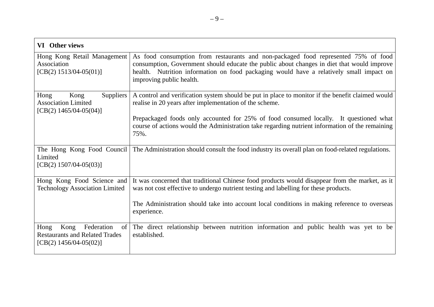| VI Other views                                                                                               |                                                                                                                                                                                                                                                                                                         |
|--------------------------------------------------------------------------------------------------------------|---------------------------------------------------------------------------------------------------------------------------------------------------------------------------------------------------------------------------------------------------------------------------------------------------------|
| Hong Kong Retail Management<br>Association<br>[CB(2) $1513/04-05(01)$ ]                                      | As food consumption from restaurants and non-packaged food represented 75% of food<br>consumption, Government should educate the public about changes in diet that would improve<br>health. Nutrition information on food packaging would have a relatively small impact on<br>improving public health. |
| Suppliers  <br>Hong<br>Kong<br><b>Association Limited</b><br>[CB(2) $1465/04-05(04)$ ]                       | A control and verification system should be put in place to monitor if the benefit claimed would<br>realise in 20 years after implementation of the scheme.                                                                                                                                             |
|                                                                                                              | Prepackaged foods only accounted for 25% of food consumed locally. It questioned what<br>course of actions would the Administration take regarding nutrient information of the remaining<br>75%.                                                                                                        |
| The Hong Kong Food Council<br>Limited<br>$[CB(2) 1507/04-05(03)]$                                            | The Administration should consult the food industry its overall plan on food-related regulations.                                                                                                                                                                                                       |
| Hong Kong Food Science and<br><b>Technology Association Limited</b>                                          | It was concerned that traditional Chinese food products would disappear from the market, as it<br>was not cost effective to undergo nutrient testing and labelling for these products.                                                                                                                  |
|                                                                                                              | The Administration should take into account local conditions in making reference to overseas<br>experience.                                                                                                                                                                                             |
| Federation<br>Hong<br>Kong<br>$\sigma$<br><b>Restaurants and Related Trades</b><br>[CB(2) $1456/04-05(02)$ ] | The direct relationship between nutrition information and public health was yet to be<br>established.                                                                                                                                                                                                   |